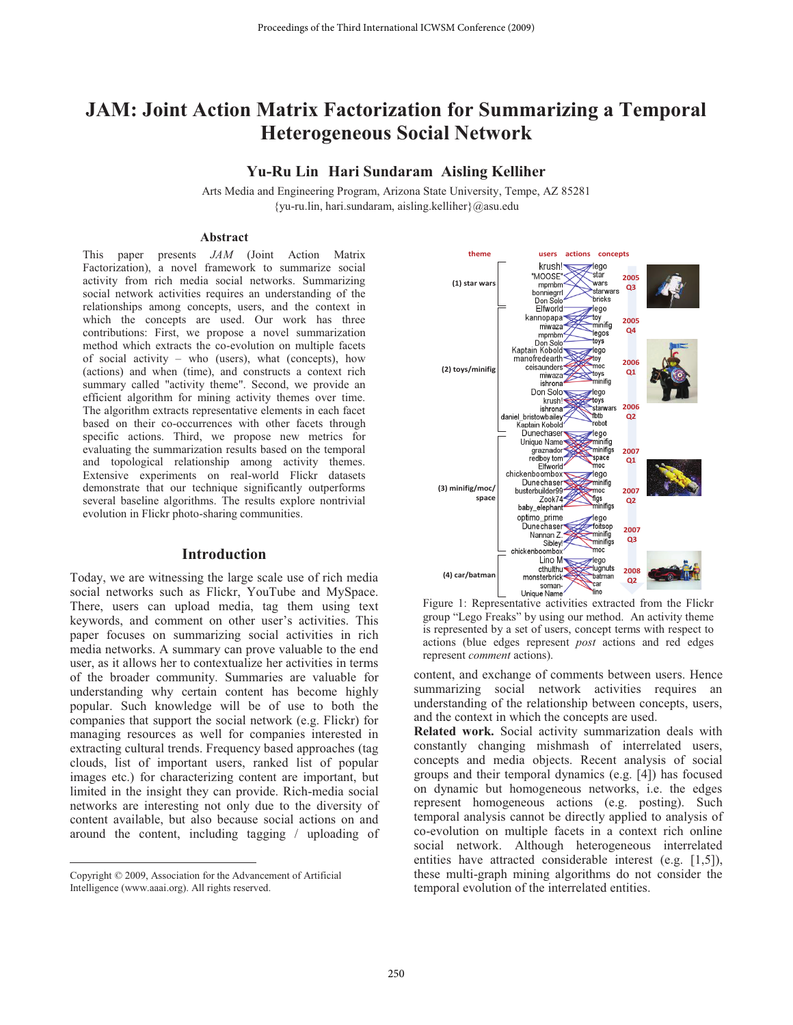# **JAM: Joint Action Matrix Factorization for Summarizing a Temporal Heterogeneous Social Network**

# **Yu-Ru Lin Hari Sundaram Aisling Kelliher**

Arts Media and Engineering Program, Arizona State University, Tempe, AZ 85281 {yu-ru.lin, hari.sundaram, aisling.kelliher}@asu.edu

## **Abstract**

This paper presents *JAM* (Joint Action Matrix Factorization), a novel framework to summarize social activity from rich media social networks. Summarizing social network activities requires an understanding of the relationships among concepts, users, and the context in which the concepts are used. Our work has three contributions: First, we propose a novel summarization method which extracts the co-evolution on multiple facets of social activity – who (users), what (concepts), how (actions) and when (time), and constructs a context rich summary called "activity theme". Second, we provide an efficient algorithm for mining activity themes over time. The algorithm extracts representative elements in each facet based on their co-occurrences with other facets through specific actions. Third, we propose new metrics for evaluating the summarization results based on the temporal and topological relationship among activity themes. Extensive experiments on real-world Flickr datasets demonstrate that our technique significantly outperforms several baseline algorithms. The results explore nontrivial evolution in Flickr photo-sharing communities.

# **Introduction**

Today, we are witnessing the large scale use of rich media social networks such as Flickr, YouTube and MySpace. There, users can upload media, tag them using text keywords, and comment on other user's activities. This paper focuses on summarizing social activities in rich media networks. A summary can prove valuable to the end user, as it allows her to contextualize her activities in terms of the broader community. Summaries are valuable for understanding why certain content has become highly popular. Such knowledge will be of use to both the companies that support the social network (e.g. Flickr) for managing resources as well for companies interested in extracting cultural trends. Frequency based approaches (tag clouds, list of important users, ranked list of popular images etc.) for characterizing content are important, but limited in the insight they can provide. Rich-media social networks are interesting not only due to the diversity of content available, but also because social actions on and around the content, including tagging / uploading of

 $\overline{a}$ 



Figure 1: Representative activities extracted from the Flickr group "Lego Freaks" by using our method. An activity theme is represented by a set of users, concept terms with respect to actions (blue edges represent *post* actions and red edges represent *comment* actions).

content, and exchange of comments between users. Hence summarizing social network activities requires an understanding of the relationship between concepts, users, and the context in which the concepts are used.

**Related work.** Social activity summarization deals with constantly changing mishmash of interrelated users, concepts and media objects. Recent analysis of social groups and their temporal dynamics (e.g. [4]) has focused on dynamic but homogeneous networks, i.e. the edges represent homogeneous actions (e.g. posting). Such temporal analysis cannot be directly applied to analysis of co-evolution on multiple facets in a context rich online social network. Although heterogeneous interrelated entities have attracted considerable interest (e.g. [1,5]), these multi-graph mining algorithms do not consider the temporal evolution of the interrelated entities.

Copyright © 2009, Association for the Advancement of Artificial Intelligence (www.aaai.org). All rights reserved.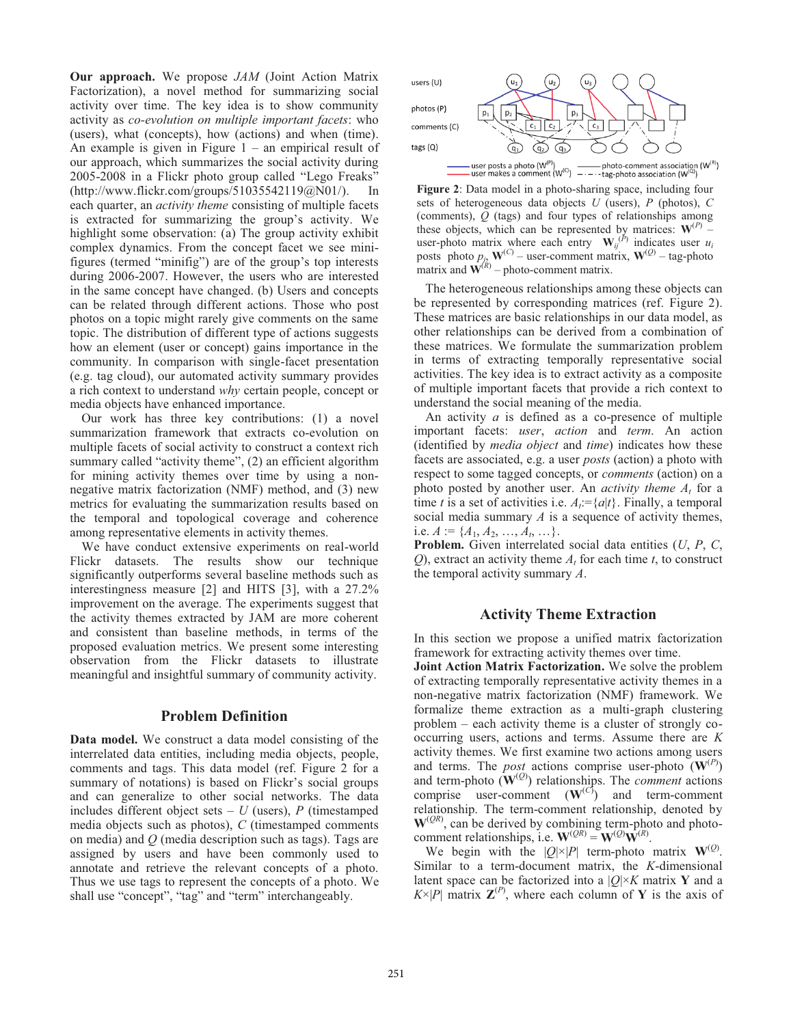**Our approach.** We propose *JAM* (Joint Action Matrix Factorization), a novel method for summarizing social activity over time. The key idea is to show community activity as *co-evolution on multiple important facets*: who (users), what (concepts), how (actions) and when (time). An example is given in Figure  $1 -$ an empirical result of our approach, which summarizes the social activity during 2005-2008 in a Flickr photo group called "Lego Freaks" (http://www.flickr.com/groups/51035542119@N01/). In each quarter, an *activity theme* consisting of multiple facets is extracted for summarizing the group's activity. We highlight some observation: (a) The group activity exhibit complex dynamics. From the concept facet we see minifigures (termed "minifig") are of the group's top interests during 2006-2007. However, the users who are interested in the same concept have changed. (b) Users and concepts can be related through different actions. Those who post photos on a topic might rarely give comments on the same topic. The distribution of different type of actions suggests how an element (user or concept) gains importance in the community. In comparison with single-facet presentation (e.g. tag cloud), our automated activity summary provides a rich context to understand *why* certain people, concept or media objects have enhanced importance.

Our work has three key contributions: (1) a novel summarization framework that extracts co-evolution on multiple facets of social activity to construct a context rich summary called "activity theme", (2) an efficient algorithm for mining activity themes over time by using a nonnegative matrix factorization (NMF) method, and (3) new metrics for evaluating the summarization results based on the temporal and topological coverage and coherence among representative elements in activity themes.

We have conduct extensive experiments on real-world Flickr datasets. The results show our technique significantly outperforms several baseline methods such as interestingness measure [2] and HITS [3], with a 27.2% improvement on the average. The experiments suggest that the activity themes extracted by JAM are more coherent and consistent than baseline methods, in terms of the proposed evaluation metrics. We present some interesting observation from the Flickr datasets to illustrate meaningful and insightful summary of community activity.

#### **Problem Definition**

**Data model.** We construct a data model consisting of the interrelated data entities, including media objects, people, comments and tags. This data model (ref. Figure 2 for a summary of notations) is based on Flickr's social groups and can generalize to other social networks. The data includes different object sets  $- U$  (users),  $P$  (timestamped media objects such as photos), *C* (timestamped comments on media) and *Q* (media description such as tags). Tags are assigned by users and have been commonly used to annotate and retrieve the relevant concepts of a photo. Thus we use tags to represent the concepts of a photo. We shall use "concept", "tag" and "term" interchangeably.



**Figure 2**: Data model in a photo-sharing space, including four sets of heterogeneous data objects *U* (users), *P* (photos), *C* (comments), *Q* (tags) and four types of relationships among these objects, which can be represented by matrices:  $W^{(P)}$  – user-photo matrix where each entry  $\mathbf{W}_{ij}^{(P)}$  indicates user  $u_i$ <br>nosts photo *n*.  $\mathbf{W}^{(C)}$  – user-comment matrix  $\mathbf{W}^{(Q)}$  – tag-photo posts photo  $p_j$ ,  $\mathbf{W}^{(C)}$  – user-comment matrix,  $\mathbf{W}^{(Q)}$  – tag-photo matrix and  $\mathbf{W}^{(R)}$  – photo-comment matrix matrix and  $\hat{\mathbf{W}}^{(R)}$  – photo-comment matrix.

The heterogeneous relationships among these objects can be represented by corresponding matrices (ref. Figure 2). These matrices are basic relationships in our data model, as other relationships can be derived from a combination of these matrices. We formulate the summarization problem in terms of extracting temporally representative social activities. The key idea is to extract activity as a composite of multiple important facets that provide a rich context to understand the social meaning of the media.

An activity *a* is defined as a co-presence of multiple important facets: *user*, *action* and *term*. An action (identified by *media object* and *time*) indicates how these facets are associated, e.g. a user *posts* (action) a photo with respect to some tagged concepts, or *comments* (action) on a photo posted by another user. An *activity theme At* for a time *t* is a set of activities i.e.  $A_i = \{a | t\}$ . Finally, a temporal social media summary *A* is a sequence of activity themes, i.e.  $A := \{A_1, A_2, ..., A_t, ...\}.$ 

**Problem.** Given interrelated social data entities (*U*, *P*, *C*,  $Q$ ), extract an activity theme  $A_t$  for each time  $t$ , to construct the temporal activity summary *A*.

## **Activity Theme Extraction**

In this section we propose a unified matrix factorization framework for extracting activity themes over time.

**Joint Action Matrix Factorization.** We solve the problem of extracting temporally representative activity themes in a non-negative matrix factorization (NMF) framework. We formalize theme extraction as a multi-graph clustering problem – each activity theme is a cluster of strongly cooccurring users, actions and terms. Assume there are *K* activity themes. We first examine two actions among users and terms. The *post* actions comprise user-photo  $(\mathbf{W}^{(P)})$ and term-photo  $(\mathbf{W}^{(Q)})$  relationships. The *comment* actions comprise user-comment  $(\mathbf{W}^{(C)})$  and term-comment relationship. The term-comment relationship, denoted by  $W^{(QR)}$ , can be derived by combining term-photo and photocomment relationships, i.e.  $\mathbf{W}^{(QR)} = \mathbf{W}^{(Q)} \mathbf{W}^{(R)}$ .

We begin with the  $|Q| \times |P|$  term-photo matrix  $W^{(Q)}$ . Similar to a term-document matrix, the *K*-dimensional latent space can be factorized into a  $|Q| \times K$  matrix Y and a  $K \times |P|$  matrix  $\mathbf{Z}^{(P)}$ , where each column of **Y** is the axis of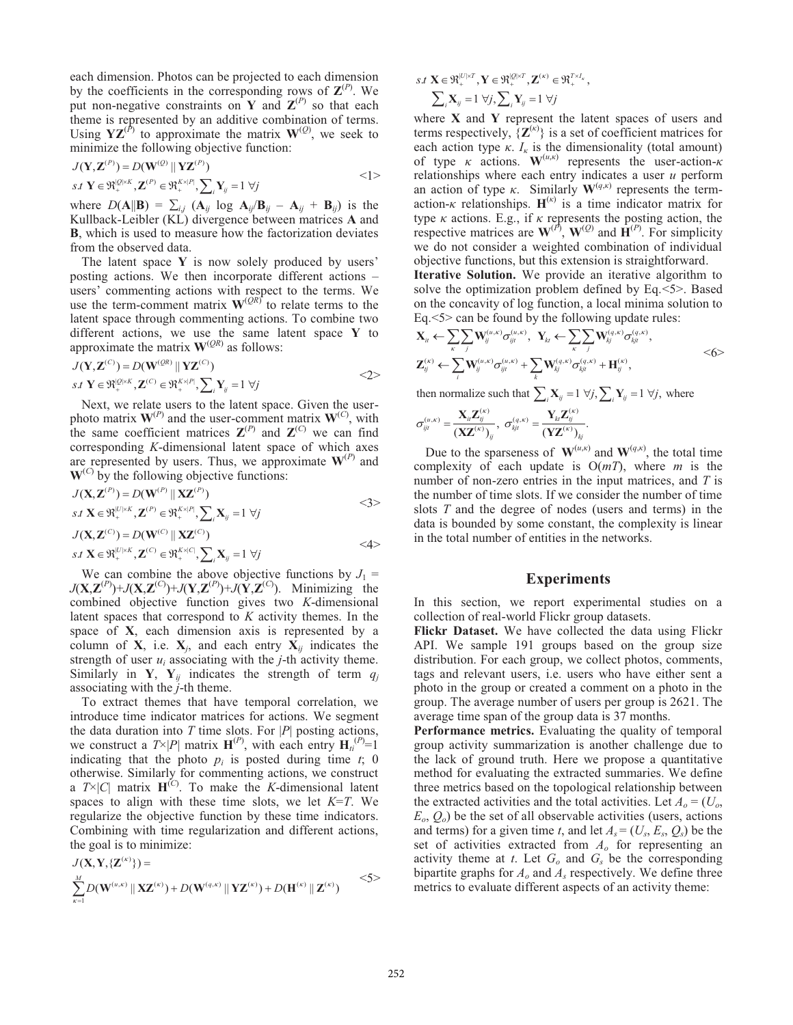each dimension. Photos can be projected to each dimension by the coefficients in the corresponding rows of  $\mathbf{Z}^{(P)}$ . We put non-negative constraints on **Y** and  $\mathbf{Z}^{(P)}$  so that each theme is represented by an additive combination of terms. Using  $YZ^{(P)}$  to approximate the matrix  $W^{(Q)}$ , we seek to minimize the following objective function:

$$
J(\mathbf{Y}, \mathbf{Z}^{(P)}) = D(\mathbf{W}^{(Q)} \parallel \mathbf{Y} \mathbf{Z}^{(P)})
$$
  
s.t  $\mathbf{Y} \in \mathfrak{R}_+^{[Q]\times K}, \mathbf{Z}^{(P)} \in \mathfrak{R}_+^{K\times|P|}, \sum_i \mathbf{Y}_i = 1 \ \forall j$   $\langle 1 \rangle$ 

where  $D(A||\mathbf{B}) = \sum_{i,j} (A_{ij} \log A_{ij}/B_{ij} - A_{ij} + B_{ij})$  is the Kullback-Leibler (KL) divergence between matrices **A** and **B**, which is used to measure how the factorization deviates from the observed data.

The latent space **Y** is now solely produced by users' posting actions. We then incorporate different actions – users' commenting actions with respect to the terms. We use the term-comment matrix  $W^{(QR)}$  to relate terms to the latent space through commenting actions. To combine two different actions, we use the same latent space **Y** to approximate the matrix  $W^{(QR)}$  as follows:

$$
J(\mathbf{Y}, \mathbf{Z}^{(C)}) = D(\mathbf{W}^{(QR)} \parallel \mathbf{Y} \mathbf{Z}^{(C)})
$$
  
s.t  $\mathbf{Y} \in \mathfrak{R}_+^{[Q]\times K}, \mathbf{Z}^{(C)} \in \mathfrak{R}_+^{K\times |P|}, \sum_i \mathbf{Y}_{ij} = 1 \ \forall j$   $\langle 2 \rangle$ 

Next, we relate users to the latent space. Given the userphoto matrix  $\mathbf{W}^{(P)}$  and the user-comment matrix  $\mathbf{W}^{(C)}$ , with the same coefficient matrices  $\mathbf{Z}^{(P)}$  and  $\mathbf{Z}^{(C)}$  we can find corresponding *K*-dimensional latent space of which axes are represented by users. Thus, we approximate  $W^{(P)}$  and  $W^{(C)}$  by the following objective functions:

$$
J(\mathbf{X}, \mathbf{Z}^{(P)}) = D(\mathbf{W}^{(P)} \parallel \mathbf{X} \mathbf{Z}^{(P)})
$$
  
\n
$$
s.t \ \mathbf{X} \in \mathfrak{R}_{+}^{|U| \times K}, \mathbf{Z}^{(P)} \in \mathfrak{R}_{+}^{K \times |P|}, \sum_{i} \mathbf{X}_{ij} = 1 \ \forall j
$$
  
\n
$$
J(\mathbf{X}, \mathbf{Z}^{(C)}) = D(\mathbf{W}^{(C)} \parallel \mathbf{X} \mathbf{Z}^{(C)})
$$
  
\n
$$
s.t \ \mathbf{X} \in \mathfrak{R}_{+}^{|U| \times K}, \mathbf{Z}^{(C)} \in \mathfrak{R}_{+}^{K \times |C|}, \sum_{i} \mathbf{X}_{ij} = 1 \ \forall j
$$
\n
$$
\langle 4 \rangle
$$

We can combine the above objective functions by  $J_1 =$  $J(\mathbf{X}, \mathbf{Z}^{(P)}) + J(\mathbf{X}, \mathbf{Z}^{(C)}) + J(\mathbf{Y}, \mathbf{Z}^{(P)}) + J(\mathbf{Y}, \mathbf{Z}^{(C)})$ . Minimizing the combined objective function gives two *K*-dimensional latent spaces that correspond to *K* activity themes. In the space of **X**, each dimension axis is represented by a column of **X**, i.e.  $X_i$ , and each entry  $X_i$  indicates the strength of user  $u_i$  associating with the  $j$ -th activity theme. Similarly in **Y**,  $Y_{ij}$  indicates the strength of term  $q_j$ associating with the *j*-th theme.

To extract themes that have temporal correlation, we introduce time indicator matrices for actions. We segment the data duration into  $T$  time slots. For  $|P|$  posting actions, we construct a  $T \times |P|$  matrix  $\mathbf{H}^{(P)}$ , with each entry  $\mathbf{H}_{ti}^{(P)} = 1$ indicating that the photo  $p_i$  is posted during time  $t$ ; 0 otherwise. Similarly for commenting actions, we construct a  $T \times |C|$  matrix  $H^{(C)}$ . To make the *K*-dimensional latent spaces to align with these time slots, we let *K*=*T*. We regularize the objective function by these time indicators. Combining with time regularization and different actions, the goal is to minimize:

$$
J(\mathbf{X}, \mathbf{Y}, \{\mathbf{Z}^{(\kappa)}\}) =
$$
  

$$
\sum_{\kappa=1}^{M} D(\mathbf{W}^{(\mu,\kappa)} \| \mathbf{X} \mathbf{Z}^{(\kappa)}) + D(\mathbf{W}^{(q,\kappa)} \| \mathbf{Y} \mathbf{Z}^{(\kappa)}) + D(\mathbf{H}^{(\kappa)} \| \mathbf{Z}^{(\kappa)})
$$
  $\langle 5 \rangle$ 

$$
s.t \ \mathbf{X} \in \mathfrak{R}_{+}^{|\mathcal{U}|\times T}, \mathbf{Y} \in \mathfrak{R}_{+}^{|\mathcal{Q}|\times T}, \mathbf{Z}^{(\kappa)} \in \mathfrak{R}_{+}^{T\times I_{\kappa}},
$$

$$
\sum_{i} \mathbf{X}_{ij} = 1 \ \forall j, \sum_{i} \mathbf{Y}_{ij} = 1 \ \forall j
$$

where **X** and **Y** represent the latent spaces of users and terms respectively,  $\{Z^{(k)}\}$  is a set of coefficient matrices for each action type  $\kappa$ .  $I_{\kappa}$  is the dimensionality (total amount) of type *κ* actions. **W**(*u*,*κ*) represents the user-action-*κ* relationships where each entry indicates a user *u* perform an action of type  $\kappa$ . Similarly  $\mathbf{W}^{(q,\kappa)}$  represents the termaction- $\kappa$  relationships.  $H^{(\kappa)}$  is a time indicator matrix for type *κ* actions. E.g., if *κ* represents the posting action, the respective matrices are  $W^{(P)}$ ,  $W^{(Q)}$  and  $\hat{H}^{(P)}$ . For simplicity we do not consider a weighted combination of individual objective functions, but this extension is straightforward. **Iterative Solution.** We provide an iterative algorithm to

solve the optimization problem defined by Eq.<5>. Based on the concavity of log function, a local minima solution to Eq.<5> can be found by the following update rules:

$$
\mathbf{X}_{ii} \leftarrow \sum_{\kappa} \sum_{j} \mathbf{W}_{ij}^{(u,\kappa)} \sigma_{ijt}^{(u,\kappa)}, \quad \mathbf{Y}_{ki} \leftarrow \sum_{\kappa} \sum_{j} \mathbf{W}_{kj}^{(q,\kappa)} \sigma_{kjt}^{(q,\kappa)},
$$
\n
$$
\mathbf{Z}_{ij}^{(\kappa)} \leftarrow \sum_{i} \mathbf{W}_{ij}^{(u,\kappa)} \sigma_{ijt}^{(u,\kappa)} + \sum_{k} \mathbf{W}_{kj}^{(q,\kappa)} \sigma_{kjt}^{(q,\kappa)} + \mathbf{H}_{ij}^{(\kappa)},
$$
\n
$$
\langle 6 \rangle
$$

then normalize such that  $\sum_i \mathbf{X}_{ij} = 1 \ \forall j, \sum_i \mathbf{Y}_{ij} = 1 \ \forall j$ , where

$$
\sigma_{ijt}^{(u,\kappa)} = \frac{\mathbf{X}_{ii}\mathbf{Z}_{ij}^{(\kappa)}}{(\mathbf{X}\mathbf{Z}^{(\kappa)})_{ij}}, \ \sigma_{kjt}^{(q,\kappa)} = \frac{\mathbf{Y}_{ki}\mathbf{Z}_{ij}^{(\kappa)}}{(\mathbf{Y}\mathbf{Z}^{(\kappa)})_{kj}}.
$$

Due to the sparseness of  $\mathbf{W}^{(u,\kappa)}$  and  $\mathbf{W}^{(q,\kappa)}$ , the total time complexity of each update is O(*mT*), where *m* is the number of non-zero entries in the input matrices, and *T* is the number of time slots. If we consider the number of time slots *T* and the degree of nodes (users and terms) in the data is bounded by some constant, the complexity is linear in the total number of entities in the networks.

## **Experiments**

In this section, we report experimental studies on a collection of real-world Flickr group datasets.

**Flickr Dataset.** We have collected the data using Flickr API. We sample 191 groups based on the group size distribution. For each group, we collect photos, comments, tags and relevant users, i.e. users who have either sent a photo in the group or created a comment on a photo in the group. The average number of users per group is 2621. The average time span of the group data is 37 months.

**Performance metrics.** Evaluating the quality of temporal group activity summarization is another challenge due to the lack of ground truth. Here we propose a quantitative method for evaluating the extracted summaries. We define three metrics based on the topological relationship between the extracted activities and the total activities. Let  $A_0 = (U_0,$  $E_0$ ,  $Q_0$ ) be the set of all observable activities (users, actions and terms) for a given time *t*, and let  $A_s = (U_s, E_s, Q_s)$  be the set of activities extracted from *Ao* for representing an activity theme at  $t$ . Let  $G_o$  and  $G_s$  be the corresponding bipartite graphs for *Ao* and *As* respectively. We define three metrics to evaluate different aspects of an activity theme: